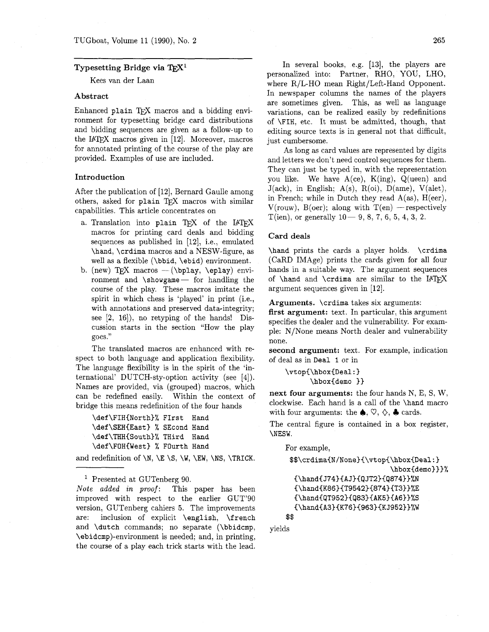## **Typesetting Bridge via**

Kees van der Laan

## **Abstract**

Enhanced plain TFX macros and a bidding environment for typesetting bridge card distributions and bidding sequences are given as a follow-up to the IATFX macros given in  $[12]$ . Moreover, macros for annotated printing of the course of the play are provided. Examples of use are included.

### **Introduction**

After the publication of [12], Bernard Gaulle among others, asked for plain TFX macros with similar capabilities. This article concentrates on

- a. Translation into plain TEX of the IATEX macros for printing card deals and bidding sequences as published in [12], i.e., emulated \hand, \crdima macros and a NESW-figure, as well as a flexible (\bbid, \ebid) environment.
- b. (new) TFX macros  $-(\bph{b}$ ,  $\epl{ay}$  environment and  $\sum_{\text{space}}$  for handling the course of the play. These macros imitate the spirit in which chess is 'played' in print (i.e., with annotations and preserved data-integrity; see **[2,** 16]), no retyping of the hands! Discussion starts in the section "How the play goes."

The translated macros are enhanced with respect to both language and application flexibility. The language flexibility is in the spirit of the 'international' DUTCH-sty-option activity (see [4]). Names are provided, via (grouped) macros, which can be redefined easily. Within the context of bridge this means redefinition of the four hands

\def\FIH(North)% FIrst Hand \def\SEH{East} % SEcond Hand \def\THH{South}% THird Hand \def\FOH(West) % Fourth Hand

and redefinition of  $\N$ ,  $\E \ S$ ,  $W$ ,  $\E W$ ,  $\NS$ ,  $\TRICK$ .

<sup>1</sup> Presented at GUTenberg 90.

*Note added in* proof: This paper has been improved with respect to the earlier GUT'90 version, GUTenberg cahiers 5. The improvements are: inclusion of explicit \english, \french and \dutch commands; no separate (\bbidcmp, \ebidcmp)-environment is needed; and, in printing, the course of a play each trick starts with the lead.

In several books, e.g. [13], the players are personalized into: Partner, RHO, YOU, LHO, where R/L-HO mean Right/Left-Hand Opponent. In newspaper columns the names of the players are sometimes given. This, as well as language variations, can be realized easily by redefinitions of \FIH, etc. It must be admitted, though, that editing source texts is in general not that difficult, just cumbersome.

As long as card values are represented by digits and letters we don't need control sequences for them. They can just be typed in, with the representation you like. We have  $A(ce)$ ,  $K(ing)$ ,  $Q(ueen)$  and  $J(ack)$ , in English;  $A(s)$ ,  $R(oi)$ ,  $D(ame)$ ,  $V(alet)$ , in French; while in Dutch they read  $A(as)$ ,  $H(eer)$ ,  $V$ (rouw),  $B($ oer); along with  $T(en)$  - respectively T(ien), or generally  $10-9, 8, 7, 6, 5, 4, 3, 2$ .

## **Card deals**

\hand prints the cards a player holds. \crdima (CaRD IMAge) prints the cards given for all four hands in a suitable way. The argument sequences of  $\hbox{\{hand and }\crdima are similar to the IATFX}$ argument sequences given in [12].

**Arguments.** \crdima takes six arguments:

**first argument:** text. In particular, this argument specifies the dealer and the vulnerability. For example: N/None means North dealer and vulnerability none.

**second argument:** text. For example, indication of deal as in Deal 1 or in

```
\vtop{\hbox{Deal:}
      \hbox{demo }}
```
**next four arguments:** the four hands N, E, S, W, clockwise. Each hand is a call of the \hand macro with four arguments: the  $\spadesuit$ ,  $\heartsuit$ ,  $\diamondsuit$ ,  $\clubsuit$  cards.

The central figure is contained in a box register, \NESW.

For example,

```
$$\crdima{N/None}{\vtop{\hbox{Deal:}
                        \hbox{demo}}}%
```

```
\{\lambda J74\}{AJ}{QJT2}{Q874}\}\\{\lambda 86\}{T9542}{874}{T3}}%E
{\hand{QT952}{Q83}{AK5}{A6}}%S
{\hand{A3}{K76}{963}{KJ952}}%W
```
\$\$

yields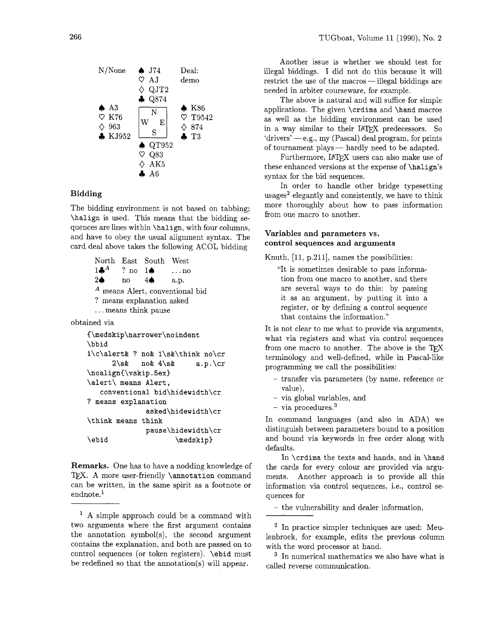

# **Bidding**

The bidding environment is not based on tabbing; **\halign** is used. This means that the bidding sequences are lines within **\halign,** with four columns, and have to obey the usual alignment syntax. The card deal above takes the following ACOL bidding

> North East South West<br>14.4 ? no 14 ... no ? no  $1\spadesuit$  ... no  $2\spadesuit$  no  $4\spadesuit$  a.p. *A* means Alert, conventional bid ? means explanation asked . . . means think pause

obtained via

```
C\medskip\narrower\noindent 
\bbid 
l\c\alert& ? no& l\s&\think no\cr 
     2\s& no& 4\s& a.p. \cr 
\noalign{\vskip.5ex}
\alert\ means Alert, 
   conventional bid\hidewidth\cr 
? means explanation 
             asked\hidewidth\cr 
\think means think 
             pause\hidewidth\cr 
\ebid \medskip)
```
**Remarks.** One has to have a nodding knowledge of TFX. A more user-friendly **\annotation** command can be written, in the same spirit as a footnote or  $endnote.<sup>1</sup>$ 

<sup>1</sup> A simple approach could be a command with two arguments where the first argument contains the annotation symbol(s), the second argument contains the explanation, and both are passed on to control sequences (or token registers). **\ebid** must be redefined so that the annotation(s) will appear.

Another issue is whether we should test for illegal biddings. I did not do this because it will restrict the use of the macros-illegal biddings are needed in arbiter courseware, for example.

The above is natural and will suffice for simple applications. The given **\crdima** and **\hand** macros as well as the bidding environment can be used in a way similar to their IATFX predecessors. So as wen as the bidding environment can be used<br>
in a way similar to their IATEX predecessors. So<br>
idrivers' — e.g., my (Pascal) deal program, for prints<br>
of terms went also of tournament plays  $\text{F4E}$  predecessors. So<br>
of tournament plays - hardly need to be adapted.<br>  $\text{F4E}$ 

Furthermore, IATFX users can also make use of these enhanced versions at the expense of **\halign's** syntax for the bid sequences.

In order to handle other bridge typesetting usages<sup>2</sup> elegantly and consistently, we have to think more thoroughly about how to pass information from one macro to another.

# **Variables and parameters vs. control sequences and arguments**

Knuth,  $[11, p.211]$ , names the possibilities:

"It is sometimes desirable to pass information from one macro to another, and there are several ways to do this: by passing it as an argument, by putting it into a register, or by defining a control sequence that contains the information."

It is not clear to me what to provide via arguments, what via registers and what via control sequences from one macro to another. The above is the  $T_FX$ terminology and well-defined, while in Pascal-like programming we call the possibilities:

- transfer via parameters (by name, reference or value),
- via global variables, and

 $-$  via procedures.<sup>3</sup>

In command languages (and also in ADA) we distinguish between parameters bound to a position and bound via keywords in free order along with defaults.

In **\crdima** the texts and hands, and in **\hand**  the cards for every colour are provided via arguments. Another approach is to provide all this information via control sequences, i.e., control sequences for

- the vulnerability and dealer information,

<sup>2</sup> In practice simpler techniques are used: Meulenbroek, for example, edits the previous column with the word processor at hand.

<sup>3</sup> In numerical mathematics we also have what is called reverse communication.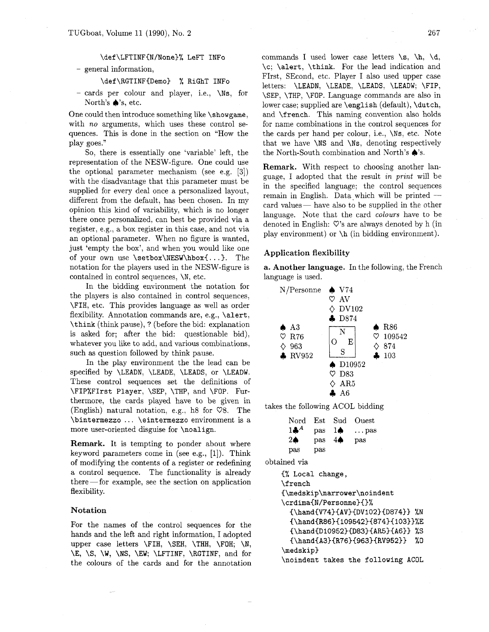with *no* arguments, which uses these control se-<br>for name combinations in the control sequences for quences. This is done in the section on "How the the cards per hand per colour, i.e., **\Ns,** etc. Note play goes." that we have \NS and \Ns, denoting respectively

representation of the NESW-figure. One could use  $\begin{array}{ll}\n\textbf{Remark.} & \text{With respect to choosing another lan-} \\
\textbf{Remark.} & \text{With respect to choosing another lan-} \\
\textbf{B} & \text{gauge, I adopted that the result in print will be}\n\end{array}$ with the disadvantage that this parameter mechanism (see e.g. [0]) guage, I adopted that the result in print will be<br>supplied for every deal once a personalized layout,<br>different from the default, has been chosen. In my<br>o an optional parameter. When no figure is wanted, just 'empty the box', and when you would like one of your own use  $\setminus \text{NESW\hbox{hbox}...}$ . The notation for the players used in the NESW-figure is contained in control sequences, \N, etc.

In the bidding environment the notation for the players is also contained in control sequences, \FIH, etc. This provides language as well as order flexibility. Annotation commands are, e.g., \alert, \think (think pause), ? (before the bid: explanation is asked for; after the bid: questionable bid), whatever you like to add, and various combinations, such as question followed by think pause.

In the play environment the the lead can be specified by \LEADN, \LEADE, \LEADS, or \LEADW. These control sequences set the definitions of \FIP%FIrst Player, \SEP, \THP, and \FOP. Furthermore, the cards played have to be given in (English) natural notation, e.g., h8 for  $\heartsuit 8$ . The \bintermezzo . . . \eintermezzo environment is a more user-oriented disguise for \noalign.

Remark. It is tempting to ponder about where keyword parameters come in (see e.g., [I]). Think of modifying the contents of a register or redefining a control sequence. The functionality is already or moairying the contents of a register or redenning<br>a control sequence. The functionality is already<br>there—for example, see the section on application flexibility.

## Notation

For the names of the control sequences for the hands and the left and right information, I adopted upper case letters \FIH, \SEH, \THH, \FOH; \N, \E, \S, \W, \NS, \EW; \LFTINF, \RGTINF, and for the colours of the cards and for the annotation

\def\LFTINFiN/None)% LeFT INFO commands I used lower case letters **\s,** \h, \d, - general information,  $\c; \aleph$ ,  $\theta$  and  $\c; \theta$ .  $\text{def}\RGTINF{Demo}$  % RiGhT INFo FIrst, SEcond, etc. Player I also used upper case letters: \LEADN, \LEADE, \LEADS, \LEADW; \FIP, - cards per colour and player, i.e.,  $\NS$ , for  $\S$ EP,  $\T{HP}$ ,  $\F{OP}$ . Language commands are also in North's  $\bullet$ 's, etc. North's  $\bullet$ 's, etc.<br>One could then introduce something like \showgame, and \french. This naming convention also holds and **\french**. This naming convention also holds So, there is essentially one 'variable' left, the the North-South combination and North's  $\spadesuit$ 's.

## Application flexibility

**a.** Another language. In the following, the French language is used.

| N/Personne      | $\bullet$ V74    |                           |
|-----------------|------------------|---------------------------|
|                 | $\heartsuit$ AV  |                           |
|                 | $\diamond$ DV102 |                           |
|                 | AD874            |                           |
| $\spadesuit$ A3 | N                | $\bullet$ R <sub>86</sub> |
| <b>R76</b><br>♡ | F,               | 109542<br>v               |
| 963             | S                | 874                       |
| RV952           |                  | 4103                      |
|                 | $\bullet$ D10952 |                           |
|                 | D83<br>V         |                           |
|                 | AR <sub>5</sub>  |                           |
|                 | A6               |                           |

takes the following ACOL bidding

| Nord           | Est | Sud           | Ouest       |
|----------------|-----|---------------|-------------|
| $1\clubsuit^A$ | pas | <b>10</b>     | $\dots$ pas |
| 2♠             | pas | $4\spadesuit$ | pas         |
| pas            | pas |               |             |

obtained via

(% Local change, \f rench **(\medskip\narrower\noindent**  \crdima{N/Personne}{}% **C\handCV74)CAV)CDVlO2HD874))** %N **C\handCR86)ClO9542)C874}(103)}%E C\handCDlO952)CD83)CAR5HA6))** %S  ${\hbox{\rm A3}}{R76}{963}{RV952}}$  %O \medskip) \noindent takes the following ACOL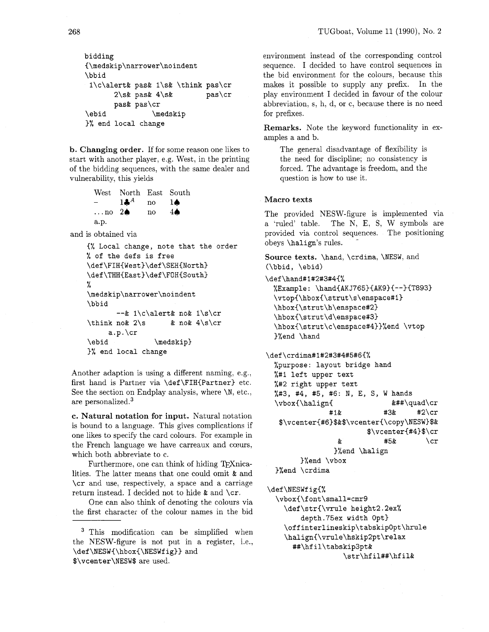```
bidding 
(\medskip\narrower\noindent 
\bbid 
 l\c\alert& pas& l\s& \think pas\cr 
      2\sk pask 4\sk pas\crpas& pas\cr 
\ebid \medskip
)% end local change
```
**b. Changing order.** If for some reason one likes to start with another player, e.g. West, in the printing of the bidding sequences, with the same dealer and vulnerability, this yields

|                           | West North East South |              |               |
|---------------------------|-----------------------|--------------|---------------|
| $\overline{\phantom{a}}$  | $1\clubsuit^A$        | no           | 10            |
| $\ldots$ no $2\spadesuit$ |                       | $\mathbf{n}$ | $4\spadesuit$ |
| a.p.                      |                       |              |               |

and is obtained via

```
C% Local change, note that the order 
% of the defs is free 
\def\FIHCWest)\def\SEH(North) 
\def\THH{East}\def\FOH{South}
% 
\medskip\narrower\noindent 
\bbid 
       --& l\c\alert& no& l\s\cr 
\theta 2\s & no 4\s\cr
     a.p.\cr 
\ebid \medskip}
>% end local change
```
Another adaption is using a different naming, e.g., first hand is Partner via \def\FIH{Partner} etc. See the section on Endplay analysis, where  $\mathcal{N}$ , etc., are personalized.3

*c.* **Natural notation for input.** Natural notation is bound to a language. This gives complications if one likes to specify the card colours. For example in the French language we have carreaux and cceurs, which both abbreviate to c.

Furthermore, one can think of hiding T<sub>F</sub>Xnicalities. The latter means that one could omit & and \cr and use, respectively, a space and a carriage return instead. I decided not to hide & and \cr.

One can also think of denoting the colours via the first character of the colour names in the bid

<sup>3</sup> This modification can be simplified when the NESW-figure is not put in a register, i.e., **\def\NESWC\hboxC\NESWfig))** and \$\vcenter\NESW\$ are used.

environment instead of the corresponding control sequence. I decided to have control sequences in the bid environment for the colours, because this makes it possible to supply any prefix. In the play environment I decided in favour of the colour abbreviation, s, h, d, or c, because there is no need for prefixes.

**Remarks.** Note the keyword functionality in examples a and b.

The general disadvantage of flexibility is the need for discipline; no consistency is forced. The advantage is freedom, and the question is how to use it.

## **Macro texts**

The provided NESW-figure is implemented via a 'ruled' table. The N, E, S, W symbols are provided via control sequences. The positioning obeys \halip's rules. -

**Source texts.** \hand, \crdima, \NESW, and (\bbid, \ebid)

```
\def\hand#1#2#3#4{%
```
%Example: **\hand(AKJ765)(AK9){-->{T893)**  \vtop{\hbox{\strut\s\enspace#1} **\hbox{\strut\h\enspace#2) \hbox(\strut\d\enspace#3) \hbox{\strut\c\enspace#4))%end** \vtop )%end \hand

**\def\crdima#l#2#3#4#5#6{%** 

```
%purpose: layout bridge hand 
%#I left upper text 
%#2 right upper text 
%#3, #4, #5, #6: N, E, S, W hands<br>\vbox{\halign{<br>k###\quad\cr
\v\text{(\h#I& #3& #2\cr 
 $\vcenter{#6)$&$\vcenterC\copy\NESW)$& 
                       $\vcenter{#4}$\cr
                \& #5& \cr
              )%end \halip 
      )%end \vbox 
)%end \crdima
```
\def\NESWfig{%

\vbox{\font\small=cmr9 \def\str{\vrule height2.2ex% depth.75ex width Opt) \off **interlineskip\tabskipOpt\hrule \halign(\vrule\hskip2pt\relax**  ##\hfil\tabskip3pt& \str\hfil##\hfil&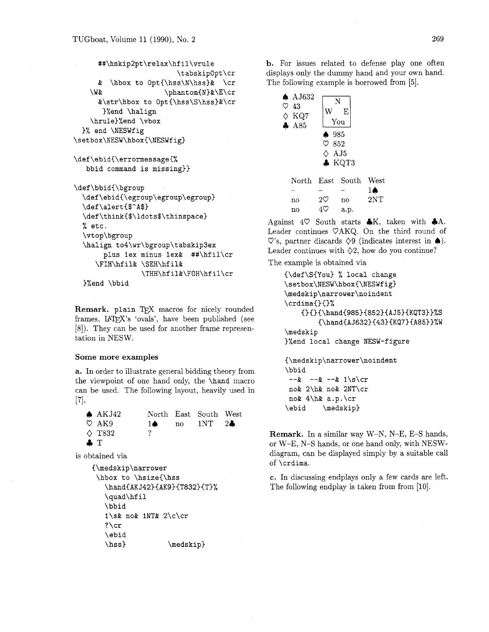```
##\hskip2pt\relax\hfil\vrule 
                        \tabskipOpt\cr 
     & \hbox to Opt{\hss\N\hss)& \cr 
   \W& \phant om{N}&\E\cr
     &\str\hbox to Opt{\hss\S\hss)&\cr 
      )%end \halip 
   \hrule)%end \vbox 
 1% end \NESWf ig 
\setbox\NESW\hbox{\NESWfig)
```

```
\def\ebid{\errormessage{% 
   bbid command is missing))
```

```
\def\bbid{\bgroup 
  \def\ebid{\egroup\egroup\egroup) 
  \def\alert{$-A$) 
  \def\think{$\ldots$\thinspace) 
  % etc. 
  \vt op\bgroup 
  \halip to4\wr\bgroup\tabskip3ex 
       plus lex minus 1ex& ##\hfil\cr 
     \FIH\hfil& \SEH\hfil& 
                 \THH\hfil&\FOH\hfil\cr
```

```
)%end \bbid
```
**Remark. plain** TEX macros for nicely rounded frames, UTEX'S 'ovals', have been published (see [8]). They can be used for another frame representation in NESW.

#### **Some more examples**

**a.** In order to illustrate general bidding theory from the viewpoint of one hand only, the **\hand** macro can be used. The following layout, heavily used in [71,

| AKJ42           |              | North East South West                 |  |
|-----------------|--------------|---------------------------------------|--|
| $\circ$ AK9     | 1 <b>a</b> – | $\text{no}$ $1\text{NT}$ $2\clubsuit$ |  |
| $\diamond$ T832 |              |                                       |  |
| $\bullet$ T     |              |                                       |  |

is obtained via

```
{\medskip\narrower
 \hbox to \hsize{\hss
   \hand{AKJ42}{AK9}{T832}{T}%
   \quad\hfil
   \bbid
   1\s& no& 1NT& 2\c\cr
   ? \cr
    \ebid
    \hspace{0.1em}\mathsf{hss}\}\medskip}
```
b. For issues related to defense play one often displays only the dummy hand and your own hand. The following example is borrowed from *[5].* 

| $\spadesuit$ AJ632<br>♡<br>-43<br>$\Diamond$ KQ7<br>A85 | N<br>W<br>$\spadesuit$ 985<br>$\heartsuit$ 852<br>$\Diamond$ AJ5 | E<br>You<br>KQT3 |                           |
|---------------------------------------------------------|------------------------------------------------------------------|------------------|---------------------------|
| North<br>no                                             | East<br>$2\heartsuit$                                            | South<br>no      | West<br>10<br>$2{\rm NT}$ |
| no                                                      |                                                                  | a.p.             |                           |

Against  $4\heartsuit$  South starts  $\clubsuit K$ , taken with  $\clubsuit A$ . Leader continues VAKQ. On the third round of  $\heartsuit$ 's, partner discards  $\diamondsuit 9$  (indicates interest in  $\spadesuit$ ). Leader continues with  $\Diamond$ 2, how do you continue?

The example is obtained via

```
{\def\S{You) % local change 
\setbox\NESW\hbox{\NESWfig) 
\medskip\narrower\noindent 
\crdima{}{}%
    OOC\handC985)C852)CAJ5)CKqT3))%S 
        {\hand{AJ632){43){KQ7}{A85))%W 
\medskip 
)%end local change NESW-figure
```
{\medskip\narrower\noindent \bbid  $-2x -x -x -x 1\sqrt{x}$ no& 2\h& no& 2NT\cr no&  $4$ \h& a.p.\cr \ebid \medskip}

**Remark.** In a similar way W-N, N-E, E-S hands, or W-E, N-S hands, or one hand only, with NESWdiagram, can be displayed simply by a suitable call of **\crdima.** 

*c.* In discussing endplays only a few cards are left. The following endplay is taken from from [10].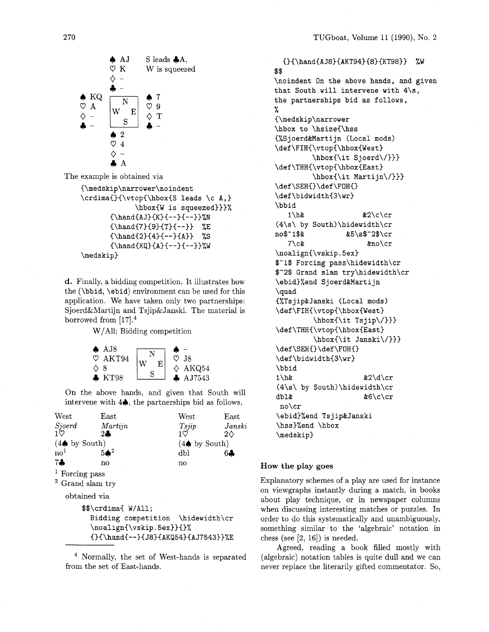

The example is obtained via

```
C\medskip\narrower\noindent 
\crdima{}{\vtop{\hbox{S leads \c A,}
                \hbarox\{W is squeezed}}}%
        \{\hat{AJ}\}(K)--\}-\{-\}\\{\hbox{mod}{{7} { \nand{7}{9}{T}{--}} %E
        {\hbox{\label{1} {--}} {\hand{2}{4}{--}{A}} %S
        {\hbox{\sf{KQ}}_{A}^{-}-\{--}\\medskip)
```
**d.** Finally, a bidding competition. It illustrates how the (\bbid, \ebid) environment can be used for this application. We have taken only two partnerships: Sjoerd&Martijn and Tsjip&Janski. The material is borrowed from  $[17].<sup>4</sup>$ 

W/A11; Bidding competition



On the above hands, and given that South will intervene with  $4\spadesuit$ , the partnerships bid as follows,

| West                     | East                                                                     |
|--------------------------|--------------------------------------------------------------------------|
| T <sub>spin</sub>        | Janski                                                                   |
| 10                       | $2\diamond$                                                              |
| $(4\spadesuit$ by South) |                                                                          |
| dbl                      | 64                                                                       |
| no                       |                                                                          |
|                          |                                                                          |
|                          |                                                                          |
|                          |                                                                          |
|                          | $\mathbf{A}$ . $\mathbf{A}$ . $\mathbf{A}$ . $\mathbf{A}$ . $\mathbf{A}$ |

Bidding competition \hidewidth\cr \noalign{\vskip.5ex}}{}%  $\{\}^{\$   $\{A K Q 54\}^{A J 7543}\}^{\times}$ 

<sup>4</sup> Normally, the set of West-hands is separated from the set of East-hands.

**C)C\handCAJ8)CAKT943C83CKT9833 %W**  \$\$ \noindent On the above hands, and given that South will intervene with  $4\$ s, the partnerships bid as follows, % (\medskip\narrower \hbox to \hsize{\hss {%Sjoerd&Martijn (Local mods)  $\def \FIH{\vtop{\hbox{\sf{Web}}}$ \hbox{\it Sjoerd\/))) \def\THH{\vtop{\hbox{East}  $\hbar$ ox{\it Martijn\/}}}  $\def \SEH{\}\def \F0H{\}$ \def\bidwidth{3\wr) \bbid  $1\hbox{h\&}$   $\&2\ccor$ (4\s\ by South)\hidewidth\cr no\$^l\$& &5\s\$^2\$\cr 7\c& &no\cr \noalign{\vskip.5ex} \$-I\$ Forcing pass\hidewidth\cr \$^2\$ Grand slam try\hidewidth\cr \ebid)%end SjoerdkMarti jn \quad {%Tsjip&Janski (Local mods) \def\FIH{\vtop{\hbox{West}  $\hbox{\sf \thinspace\ }$ \def\THH{\vtop{\hbox{East} \hbox{\it Janski\/))) \def\SEH{}\def\FOH{} \def\bidwidth{3\wr} \bbid  $1\hbox{h\&}$   $\&2\hbox{d}\cr$ (4\s\ by South)\hidewidth\cr dbl& &6\c\cr no\cr \ebid)%end TsjiptJanski \hss)%end \hbox \medskip)

# **How the play** *goes*

Explanatory schemes of a play are used for instance on viewgraphs instantly during a match, in books about play technique, or in newspaper columns when discussing interesting matches or puzzles. In order to do this systematically and unambiguously, something similar to the 'algebraic' notation in chess (see  $[2, 16]$ ) is needed.

Agreed, reading a book filled mostly with (algebraic) notation tables is quite dull and we can never replace the literarily gifted commentator. So,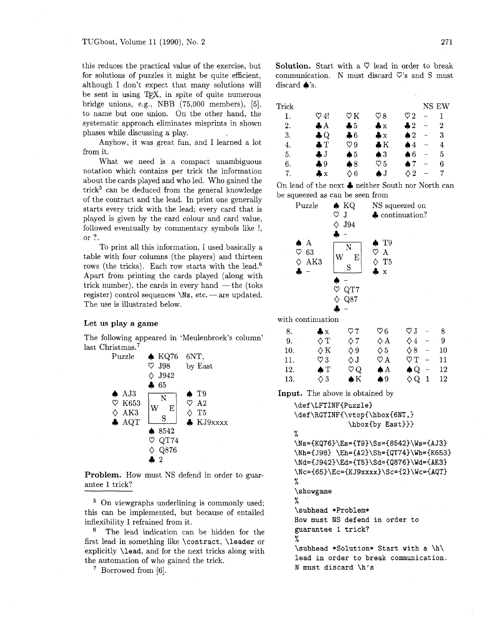this reduces the practical value of the exercise, but for solutions of puzzles it might be quite efficient, although I don't expect that many solutions will be sent in using TFX, in spite of quite numerous bridge unions, e.g., NBB (75,000 members), [5], to name but one union. On the other hand, the systematic approach eliminates misprints in shown phases while discussing a play.

Anyhow, it was great fun, and I learned a lot from it.

What we need is a compact unambiguous notation which contains per trick the information about the cards played and who led. Who gained the trick<sup>5</sup> can be deduced from the general knowledge of the contract and the lead. In print one generally starts every trick with the lead; every card that is played is given by the card colour and card value, followed eventually by commentary symbols like !, or ?.

To print all this information, I used basically a table with four columns (the players) and thirteen rows (the tricks). Each row starts with the lead.<sup>6</sup> Apart from printing the cards played (along with trick number), the cards in every hand  $-$  the (toks register) control sequences  $\text{Ns}, \text{etc.}$  -are updated. The use is illustrated below.

#### Let us play a game

The following appeared in 'Meulenbroek's column' last Christmas. $7$ 



Problem. How must NS defend in order to guarantee 1 trick?

<sup>5</sup> On viewgraphs underlining is commonly used; this can be implemented, but because of entailed inflexibility I refrained from it.

The lead indication can be hidden for the first lead in something like \contract, \leader or explicitly \lead, and for the next tricks along with the automation of who gained the trick.

Borrowed from [6].

Solution. Start with a  $\heartsuit$  lead in order to break communication. N must discard  $\nabla$ 's and S must discard  $\triangle$ 's.

| $\operatorname{Trick}$ |               |                |                |                |     | NS EW |
|------------------------|---------------|----------------|----------------|----------------|-----|-------|
| 1.                     | V 4!          | $\heartsuit$ K | V 8            | V 2            |     |       |
| 2.                     | 4А            | $\clubsuit 5$  | $\clubsuit x$  | $\clubsuit 2$  | --- | 2     |
| 3.                     | 4 Q           | ♣6             | $\clubsuit x$  | $\spadesuit 2$ |     | 3     |
| 4.                     | $\clubsuit T$ | V 9            | $\clubsuit K$  | ≜4             | ⊸   | 4     |
| 5.                     | <b>. J</b>    | ▲5             | $\spadesuit 3$ | 66             |     | 5     |
| 6.                     | ♣9            | $\clubsuit 8$  | V 5            | ▲ 7            |     | 6     |
| 7.                     | ÷×            | $\lozenge\,6$  | AJ             |                |     |       |
|                        |               |                |                |                |     |       |

On lead of the next **4** neither South nor North can be squeezed as can be seen from



with continuation

| 8.  | $\clubsuit \times$ | V 7          | V 6            | $\circ$ J $-$                  | -8 |
|-----|--------------------|--------------|----------------|--------------------------------|----|
| 9.  | $\Diamond$ T       | ♦7           | ◇А             | $\diamond$ 4<br>$\overline{a}$ | -9 |
| 10. | $\Diamond K$       | $\Diamond 9$ | $\lozenge 5$   | $\lozenge 8$ -                 | 10 |
| 11. | $\heartsuit\,3$    | ◇J           | $\heartsuit A$ | $\circ$ T -                    | 11 |
| 12. | $\bullet$ T        | V Q          | ♠А             | $\clubsuit Q -$                | 12 |
| 13. | $\Diamond$ 3       | $\bullet$ K  | $\spadesuit 9$ | $\Diamond Q$ 1                 | 12 |

Input. The above is obtained by

\def\LFTINF(Puzzle) \def\RGTINF{\vtop{\hbox{6NT,} \hbox{by East}}}  $\sqrt{2}$ \Ns={KQ76}\Es={T9}\Ss={8542}\Ws={AJ3} \Nh={J98) **\Eh=(A2)\Sh={qT74)\Wh=(K653)**  \Nd={J942}\Ed={T5}\Sd={Q876}\Wd={AK3}  $Nc={65}\Ec={KJ9xxxx}\Sc={2}\We={AQT}$ % \showgame % \subhead \*Problem\* How must NS defend in order to guarantee 1 trick? % \subhead \*Solution\* Start with a \h\ lead in order to break communication. N must discard \h's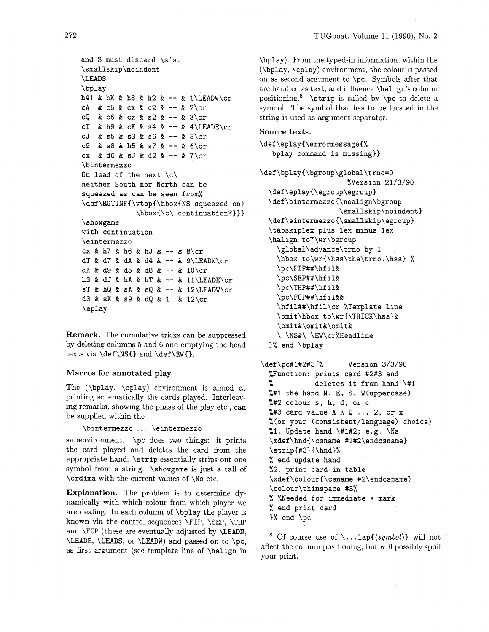```
and S must discard \s's. 
\smallskip\noindent 
\LEADS 
\bplay 
h4! & hK & h8 & h2 & -- & 1\LEADW\cr
cA & c5 & cx & c2 & - & 2\cr
cQ & c6 & cx & s2 & - & 3\cr
cT & h9 & cK & s4 & -- & 4\LEADE\cr
cJ & s5 & s3 & s6 & - & 5\cr
c9 & s8 & h5 & s7 & -- & 6\cr 
cx & d6 & sJ & d2 & -- & 7\cr
\bintermezzo 
On lead of the next \langle c \rangleneither South nor North can be 
squeezed as can be seen from% 
\def\RGTINF{\vtop{\hbox{NS squeezed on}
             \hbar\\{\c\} continuation?}}}
\showgame 
with continuation 
\eintermezzo 
cx & h7 & h6 & hJ & - & 8\cr
dT & d7 & dA & d4 & -- & 9\LEADW\cr
dK & d9 & d5 & dB & -- & 10\cr 
h3 & dJ & hA & hT & -- & 11\LEADE\cr
ST \& hQ \& sA \& sQ \& -- \& 12\LEADW\crd3 & SK & s9 & dQ & 1 & 12\cr 
\eplay
```
**Remark.** The cumulative tricks can be suppressed by deleting columns *5* and 6 and emptying the head texts via  $\def\SS{}$  and  $\def\SW{}$ .

## **Macros for annotated play**

The (\bplay, \eplay) environment is aimed at printing schematically the cards played. Interleaving remarks, showing the phase of the play etc., can be supplied within the

\bintermezzo . . . \eintermezzo

subenvironment. \pc does two things: it prints the card played and deletes the card from the appropriate hand. \strip essentially strips out one symbol from a string. \showgame is just a call of \crdima with the current values of \Ns etc.

**Explanation.** The problem is to determine dynamically with which colour from which player we are dealing. In each eolumn of \bplay the player is known via the control sequences \FIP, \SEP, \THP and \FOP (these are eventually adjusted by \LEADN, \LEADE, \LEADS, or \LEADW) and passed on to \PC, as first argument (see template line of \halign in \bplay). From the typed-in information, within the (\bplay, \eplay) environment, the colour is passed on as second argument to  $\pc$ . Symbols after that are handled as text, and influence \halign's column positioning.<sup>8</sup> \strip is called by \pc to delete a symbol. The symbol that has to be located in the string is used as argument separator.

# **Source texts.**

\def\eplay{\errormessage{% bplay command is missing))

**\def\bplay{\bgroup\global\tmo=0**  %Version 21/3/90 \def\eplay{\egroup\egroup} \def\bintermezzo{\noalign\bgroup \smallskip\noindent) **\def\eintermezzo{\smallskip\egroup)**  \tabskipiex plus lex minus lex \halign to7\wr\bgroup \global\advance\trno by 1 \hbox **to\wr~\hss\the\trno.\hss)** % \pc\FIP##\hfil& \pc\SEP##\hfil& \pc\THP##\hfil& \pc\FOP##\hf il&& \hfil##\hfil\cr %Template line \omit\hbox to\wr{\TRICK\hss}& \omit&\omit&\omit& \ \NS&\ \EW\cr%Headline 3% end \bplay

```
\def\pc#l#2#3C% Version 3/3/90 
  %Function: prints card #2#3 and 
  % deletes it from hand \#I 
  %#I the hand N, E, S, W(uppercase) 
  %#2 colour s, h, d, or c 
  %#3 card value A K Q ... 2, or x
  %(or your (consistent/language) choice) 
  %1. Update hand \forall#1#2; e.g. \forallNs
  \xdef\hnd{\csname #1#2\endcsname) 
  \scriptstyle\verb|string#3}{\hbox{hnd}}% end update hand 
  %2. print card in table 
  \xdef\colour{\csname #2\endcsname}
  \colour\thinspace #3% 
  % %Needed for immediate * mark 
  % end print card 
  1% end \pc
```
<sup>&</sup>lt;sup>8</sup> Of course use of  $\ldots$  lap{ $\langle symbol \rangle$ } will not affect the column positioning, but will possibly spoil your print.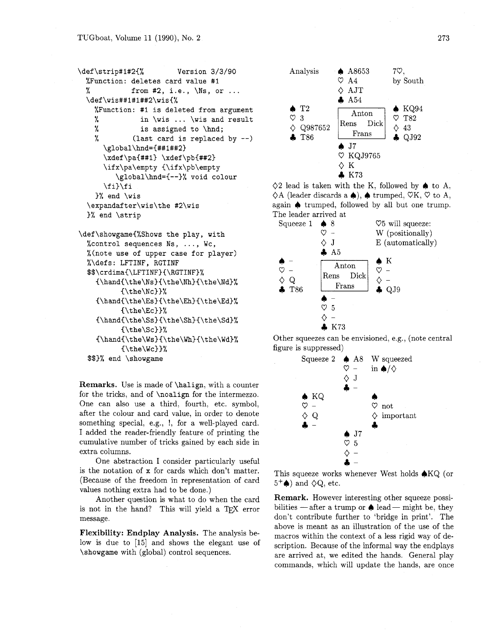```
\def\strip#l#2(% Version 3/3/90 
 %Function: deletes card value #I 
 % from #2, i.e., \Ns, or ... 
 \def\wis##l#l##2\wisC% 
   %Function: #I is deleted from argument 
   % in \wis ... \wis and result 
              is assigned to \hnd;
   % (last card is replaced by --) 
     \global\hnd=C##l##23 
     \xdef\pa{##1} \xdef\pb{##2}
     \ifx\pa\empty C\ifx\pb\empty 
         \global\hnd={--3% void colour 
     \f i)\f i 
   3% end \wis 
 \expandafter\wis\the #2\wis 
 )% end \strip
```

```
\def\showgameC%Shows the play, with 
  %control sequences Ns, ..., Wc, 
  %(note use of upper case for player) 
  %\defs: LFTINF, RGTINF 
  $$\crdima{\LFTINF){\RGTINF)% 
    {\hbox{\label{thm}l}}C\the\Nc))% 
    \{\hbox{Chand}\the\Es\}(\thinspace\thinspace\hbox{Ch})\tthinspace\thinspace\hbox{Ch}\C\the\Ecl)% 
    {\hbox{\label{thm-ds}}\thinspace\}C\the\Sc33% 
    \{\hbox{\sf\bf{Ws}}\{\thinspace\\bf{Wh}\}^{\thinspace}C\the\Wc)3% 
  $$I% end \showgame
```
**Remarks.** Use is made of **\halip,** with a counter for the tricks, and of **\noalign** for the intermezzo. One can also use a third, fourth. etc. symbol, after the colour and card value, in order to denote something special, e.g., !, for a well-played card. I added the reader-friendly feature of printing the cumulative number of tricks gained by each side in extra columns.

One abstraction I consider particularly useful is the notation of x for cards which don't matter. (Because of the freedom in representation of card values nothing extra had to be done.)

Another question is what to do when the card is not in the hand? This will yield a TEX error message.

**Flexibility: Endplay Analysis.** The analysis below is due to [15] and shows the elegant use of **\showgame** with (global) control sequences.



 $\Diamond$ 2 lead is taken with the K, followed by  $\spadesuit$  to A.  $\Diamond A$  (leader discards a  $\spadesuit$ ),  $\spadesuit$  trumped,  $\heartsuit K$ ,  $\heartsuit$  to A, again **4** trumped, followed by all but one trump. The leader arrived at



Other squeezes can be envisioned, e.g., (note central figure is suppressed)



This squeeze works whenever West holds  $\bigtriangleup$ KQ (or  $5^+$  and  $\Diamond Q$ , etc.

**Remark.** However interesting other squeeze possibilities — after a trump or  $\triangle$  lead — might be, they don't contribute further to 'bridge in print'. The above is meant as an illustration of the use of the macros within the context of a less rigid way of description. Because of the informal way the endplays are arrived at, we edited the hands. General play commands, which will update the hands, are once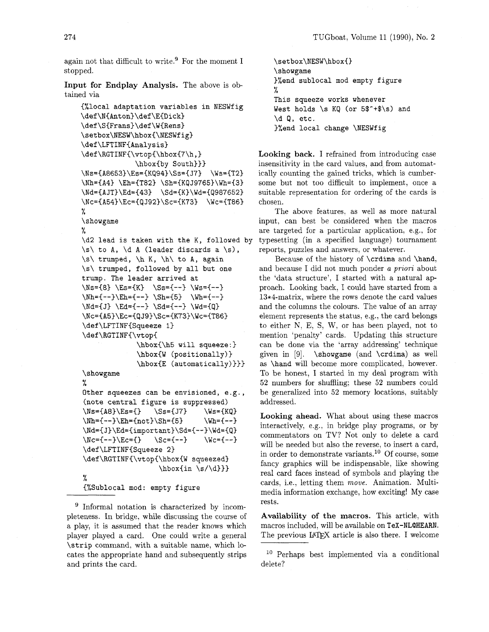again not that difficult to write.<sup>9</sup> For the moment I stopped.

**Input for Endplay Analysis.** The above is obtained via

```
C%local adaptation variables in NESWfig 
\def\N(Anton)\def\ECDick) 
\def\S{Frans}\def\W{Rens}
\setbox\NESW\hbox{\NESWf ig) 
\def\LFTINF{Analysis}
\def\RGTINF{\vtop{\hbox{7\h, }
              \hbox{by South))) 
\N~=CA8653)\Es=(Kq94)\Ss=IJ7) \Ws=(T2) 
\Nh = \{A4\} \Eh = \{T82\} \Sh = \{KQJ9765\} \Wh = \{3\}\Nd=(AJT)\Ed=(43) \Sd=(K)\Wd={Q987652) 
\Nc={A54}\Ec={QJ92}\Sc={K73} \Wc={T86}
% 
\showgame 
% 
\d2 lead is taken with the K, followed by 
\s\ to A, \d A (leader discards a \s), 
\s\ trumped, \hbar K, \hbar to A, again
\s\ trumped, followed by all but one 
trump. The leader arrived at 
\NS={8} \ \Es={K} \ \ \Ss={-1} \ \Ws={-1}\hbar={-}-} \Bigr\backslash \Sh={5} \ \hbar=-\}\Nd = \{J\} \ \Ed = \{- -\} \ \Sd = \{- -\} \ \Wd = \{Q\}\Nc={A5}\Ec={QJ9}\Sc={K73}\Wc={T86}
\def\LFTINF(Squeeze 1) 
\def\RGTINF(\vtopC 
               \hbox(\h5 will squeeze:) 
               \hbox(W (posit ionally) ) 
               \hbox{\tt \&\textrm{E} (automatically)}\showgame 
% 
Other squeezes can be envisioned, e.g., 
(note central figure is suppressed) 
\NS = \{A8\}\ES = \{\} \qquad \SS = \{J7\} \qquad \WS = \{KQ\}\Nh={--)\Eh=(not)\Sh={5) \Wh={--1 
\Nd={J}\Ed={important}\Sd={--}\Wd={Q}
\Nc={-}-}\Ec={} \Sc={--} \Wc={--}
\def\LFTINF(Squeeze 2) 
\def\RGTINF{\vtop{\hbox{W squeezed}
                     \hbarox{in \s/\d}}}
% 
C%Sublocal mod: empty figure
```
<sup>9</sup> Informal notation is characterized by incompleteness. In bridge, while discussing the course of a play, it is assumed that the reader knows which player played a card. One could write a general \strip command, with a suitable name, which locates the appropriate hand and subsequently strips and prints the card.

```
\setbox\NESW\hbox{}
\showgame
)%end sublocal mod empty figure 
% 
This squeeze works whenever 
West holds \s KQ (or 5$<sup>-+$</sup>\s) and
\d Q, etc. 
)%end local change \NESWfig
```
**Looking back. I** refrained from introducing case insensitivity in the card values, and from automatically counting the gained tricks, which is cumbersome but not too difficult to implement, once a suitable representation for ordering of the cards is chosen.

The above features. as well as more natural input, can best be considered when the macros are targeted for a particular application, e.g., for typesetting (in a specified language) tournament reports, puzzles and answers, or whatever.

Because of the history of \crdima and \hand, and because I did not much ponder a *priori* about the 'data structure', I started with a natural approach. Looking back, I could have started from a 13\*4-matrix, where the rows denote the card values and the columns the colours. The value of an array element represents the status, e.g., the card belongs to either N, E, S, W, or has been played, not to mention 'penalty' cards. Updating this structure can be done via the 'array addressing' technique given in [9].  $\sum_{\text{ and } \crdima}$  as well as \hand will become more complicated, however. To be honest, I started in my deal program with *52* numbers for shuffling; these *52* numbers could be generalized into *52* memory locations, suitably addressed.

**Looking ahead.** What about using these macros interactively, e.g., in bridge play programs, or by commentators on TV? Not only to delete a card will be needed but also the reverse, to insert a card, in order to demonstrate variants.<sup>10</sup> Of course, some fancy graphics will be indispensable, like showing real card faces instead of symbols and playing the cards, i.e., letting them move. Animation. Multimedia information exchange, how exciting! My case rests.

**Availability of the macros.** This article, with macros included, will be available on TeX-NLQHEARN. The previous IATEX article is also there. I welcome

```
10 Perhaps best implemented via a conditional
delete?
```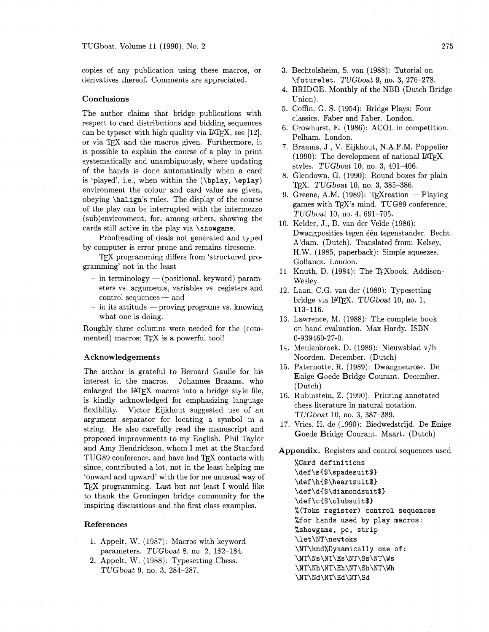copies of any publication using these macros, or derivatives thereof. Comments are appreciated.

#### Conclusions

The author claims that bridge publications with respect to card distributions and bidding sequences can be typeset with high quality via  $IATFX$ , see [12], or via TFX and the macros given. Furthermore, it is possible to explain the course of a play in print systematically and unambiguously, where updating of the hands is done automatically when a card is 'played', i.e., when within the (\bplay, \eplay) environment the colour and card value are given, obeying \halip's rules. The display of the course of the play can be interrupted with the intermezzo (sub)environment, for, among others, showing the cards still active in the play via \showgame.

Proofreading of deals not generated and typed by computer is error-prone and remains tiresome.

TEX programming differs from 'structured programming' not in the least

- $-$  in terminology  $-$  (positional, keyword) param-In terminology — (positional, keyword) parameters vs. arguments, variables vs. registers and<br>control sequences — and<br>in its stitude — previous presences we havening
- $control sequences and$ <br>- in its attitude proving programs vs. knowing what one is doing.

Roughly three columns were needed for the (commented) macros; TFX is a powerful tool!

### Acknowledgements

The author is grateful to Bernard Gaulle for his interest in the macros. Johannes Braams, who enlarged the IATEX macros into a bridge style file, is kindly acknowledged for emphasizing language flexibility. Victor Eijkhout suggested use of an argument separator for locating a symbol in a string. He also carefully read the manuscript and proposed improvements to my English. Phil Taylor and Amy Hendrickson, whom I met at the Stanford TUG89 conference, and have had TFX contacts with since, contributed a lot, not in the least helping me 'onward and upward' with the for me unusual way of TEX programming. Last but not least I would like to thank the Groningen bridge community for the inspiring discussions and the first class examples.

#### References

- 1. Appelt, W. (1987): Macros with keyword parameters. TUGboat 8, no. 2, 182-184.
- 2. Appelt, W. (1988): Typesetting Chess. TUGboat 9, no. 3, 284-287.
- Bechtolsheim, S. von (1988): Tutorial on \futurelet. TUGboat 9, no. 3, 276-278.
- BRIDGE. Monthly of the NBB (Dutch Bridge Union).
- 5. Coffin, G. S. (1954): Bridge Plays: Four classics. Faber and Faber. London.
- 6. Crowhurst, E. (1986): ACOL in competition. Pelham. London.
- Braams, J., V. Eijkhout, N.A.F.M. Poppelier (1990): The development of national  $IATFX$ styles. TUGboat 10, no. 3, 401-406.
- Glendown, G. (1990): Round boxes for plain TFX. TUGboat 10, no. 3, 385-386.
- 9. Greene, A.M. (1989): T<sub>F</sub>Xreation  $-$  Playing games with TFX's mind. TUG89 conference, TUGboat 10, no. 4, 691-705.
- 10. Kelder, J., B. van der Velde (1986): Dwangposities tegen één tegenstander. Becht. A'dam. (Dutch). Translated from: Kelsey, H.W. (1985, paperback): Simple squeezes. Gollancz. London.
- 11. Knuth, D. (1984): The TFXbook. Addison-Wesley.
- Laan, C.G. van der (1989): Typesetting bridge via IATFX. TUGboat 10, no. 1, 113-116.
- 13. Lawrence, M. (1988): The complete book on hand evaluation. Max Hardy. ISBN 0-939460-27-0.
- Meulenbroek, D. (1989): Nieuwsblad v/h Noorden. December. (Dutch)
- Paternotte, R. (1989): Dwangneurose. De Enige Goede Bridge Courant. December. (Dutch)
- 16. Rubinstein, Z. (1990): Printing annotated chess literature in natural notation. TUGboat 10, no. 3, 387-389.
- 17. Vries, H. de (1990): Biedwedstrijd. De Enige Goede Bridge Courant. Maart. (Dutch)

Appendix. Registers and control sequences used

%Card definitions \def\s(\$\spadesuit\$) \def\h{\$\heartsuit\$} \def\d(\$\diamondsuit\$) \def\c{\$\clubsuit\$} %(Toks register) control sequences %for hands used by play macros: %showgame, pc, strip \let\NT\newtoks \NT\hnd%Dynamically one of: **\NT\Ns\NT\Es\NT\Ss\NT\Ws \NT\Nh\NT\Eh\NT\Sh\NT\Wh**  \NT\Nd\NT\Ed\NT\Sd